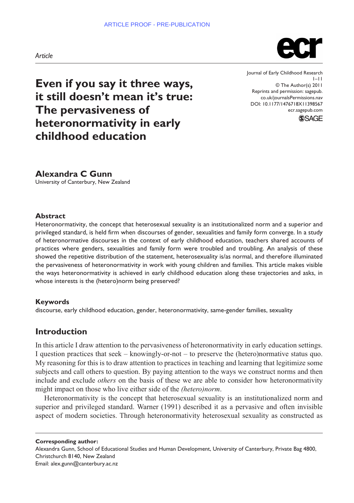**Even if you say it three ways, it still doesn't mean it's true: The pervasiveness of heteronormativity in early childhood education**

Journal of Early Childhood Research 1–11 © The Author(s) 2011 Reprints and permission: sagepub. co.uk/journalsPermissions.nav DOI: 10.1177/1476718X11398567 ecr.sagepub.com

**SSAGE** 

## **Alexandra C Gunn**

University of Canterbury, New Zealand

### **Abstract**

Heteronormativity, the concept that heterosexual sexuality is an institutionalized norm and a superior and privileged standard, is held firm when discourses of gender, sexualities and family form converge. In a study of heteronormative discourses in the context of early childhood education, teachers shared accounts of practices where genders, sexualities and family form were troubled and troubling. An analysis of these showed the repetitive distribution of the statement, heterosexuality is/as normal, and therefore illuminated the pervasiveness of heteronormativity in work with young children and families. This article makes visible the ways heteronormativity is achieved in early childhood education along these trajectories and asks, in whose interests is the (hetero)norm being preserved?

### **Keywords**

discourse, early childhood education, gender, heteronormativity, same-gender families, sexuality

## **Introduction**

In this article I draw attention to the pervasiveness of heteronormativity in early education settings. I question practices that seek – knowingly-or-not – to preserve the (hetero)normative status quo. My reasoning for this is to draw attention to practices in teaching and learning that legitimize some subjects and call others to question. By paying attention to the ways we construct norms and then include and exclude *others* on the basis of these we are able to consider how heteronormativity might impact on those who live either side of the *(hetero)norm*.

Heteronormativity is the concept that heterosexual sexuality is an institutionalized norm and superior and privileged standard. Warner (1991) described it as a pervasive and often invisible aspect of modern societies. Through heteronormativity heterosexual sexuality as constructed as

**Corresponding author:**

Alexandra Gunn, School of Educational Studies and Human Development, University of Canterbury, Private Bag 4800, Christchurch 8140, New Zealand Email: alex.gunn@canterbury.ac.nz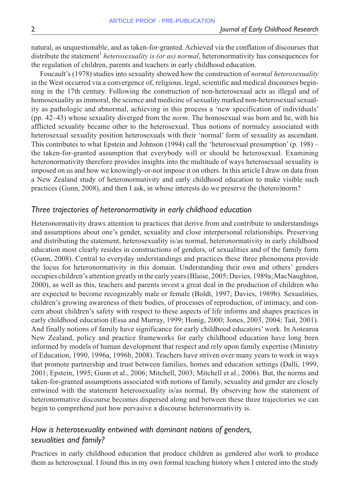natural, as unquestionable, and as taken-for-granted. Achieved via the conflation of discourses that distribute the statement<sup>1</sup> *heterosexuality is (or as) normal*, heteronormativity has consequences for the regulation of children, parents and teachers in early childhood education.

Foucault's (1978) studies into sexuality showed how the construction of *normal heterosexuality* in the West occurred via a convergence of, religious, legal, scientific and medical discourses beginning in the 17th century. Following the construction of non-heterosexual acts as illegal and of homosexuality as immoral, the science and medicine of sexuality marked non-heterosexual sexuality as pathologic and abnormal, achieving in this process a 'new specification of individuals' (pp. 42–43) whose sexuality diverged from the *norm*. The homosexual was born and he, with his afflicted sexuality became other to the heterosexual. Thus notions of normalcy associated with heterosexual sexuality position heterosexuals with their 'normal' form of sexuality as ascendant. This contributes to what Epstein and Johnson (1994) call the 'heterosexual presumption' (p. 198) – the taken-for-granted assumption that everybody will or should be heterosexual. Examining heteronormativity therefore provides insights into the multitude of ways heterosexual sexuality is imposed on us and how we knowingly-or-not impose it on others. In this article I draw on data from a New Zealand study of heteronormativity and early childhood education to make visible such practices (Gunn, 2008), and then I ask, in whose interests do we preserve the (hetero)norm?

### *Three trajectories of heteronormativity in early childhood education*

Heteronormativity draws attention to practices that derive from and contribute to understandings and assumptions about one's gender, sexuality and close interpersonal relationships. Preserving and distributing the statement, heterosexuality is/as normal, heteronormativity in early childhood education most clearly resides in constructions of genders, of sexualities and of the family form (Gunn, 2008). Central to everyday understandings and practices these three phenomena provide the locus for heteronormativity in this domain. Understanding their own and others' genders occupies children's attention greatly in the early years (Blaise, 2005; Davies, 1989a; MacNaughton, 2000), as well as this, teachers and parents invest a great deal in the production of children who are expected to become recognizably male or female (Boldt, 1997; Davies, 1989b). Sexualities, children's growing awareness of their bodies, of processes of reproduction, of intimacy, and concern about children's safety with respect to these aspects of life informs and shapes practices in early childhood education (Essa and Murray, 1999; Honig, 2000; Jones, 2003, 2004; Tait, 2001). And finally notions of family have significance for early childhood educators' work. In Aotearoa New Zealand, policy and practice frameworks for early childhood education have long been informed by models of human development that respect and rely upon family expertise (Ministry of Education, 1990, 1996a, 1996b, 2008). Teachers have striven over many years to work in ways that promote partnership and trust between families, homes and education settings (Dalli, 1999, 2001; Epstein, 1995; Gunn et al., 2006; Mitchell, 2003; Mitchell et al., 2006). But, the norms and taken-for-granted assumptions associated with notions of family, sexuality and gender are closely entwined with the statement heterosexuality is/as normal. By observing how the statement of heteronormative discourse becomes dispersed along and between these three trajectories we can begin to comprehend just how pervasive a discourse heteronormativity is.

## *How is heterosexuality entwined with dominant notions of genders, sexualities and family?*

Practices in early childhood education that produce children as gendered also work to produce them as heterosexual. I found this in my own formal teaching history when I entered into the study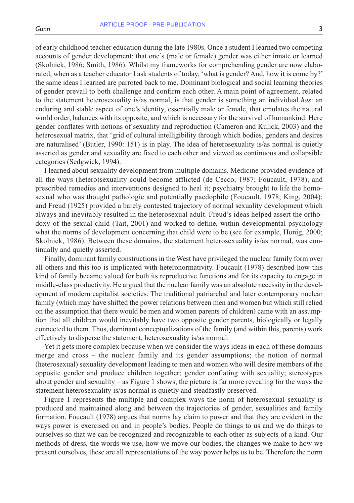of early childhood teacher education during the late 1980s. Once a student I learned two competing accounts of gender development: that one's (male or female) gender was either innate or learned (Skolnick, 1986; Smith, 1986). Whilst my frameworks for comprehending gender are now elaborated, when as a teacher educator I ask students of today, 'what is gender? And, how it is come by?' the same ideas I learned are parroted back to me. Dominant biological and social learning theories of gender prevail to both challenge and confirm each other. A main point of agreement, related to the statement heterosexuality is/as normal, is that gender is something an individual *has*: an enduring and stable aspect of one's identity, essentially male or female, that emulates the natural world order, balances with its opposite, and which is necessary for the survival of humankind. Here gender conflates with notions of sexuality and reproduction (Cameron and Kulick, 2003) and the heterosexual matrix, that 'grid of cultural intelligibility through which bodies, genders and desires are naturalised' (Butler, 1990: 151) is in play. The idea of heterosexuality is/as normal is quietly asserted as gender and sexuality are fixed to each other and viewed as continuous and collapsible categories (Sedgwick, 1994).

I learned about sexuality development from multiple domains. Medicine provided evidence of all the ways (hetero)sexuality could become afflicted (de Cecco, 1987; Foucault, 1978), and prescribed remedies and interventions designed to heal it; psychiatry brought to life the homosexual who was thought pathologic and potentially paedophile (Foucault, 1978; King, 2004); and Freud (1925) provided a barely contested trajectory of normal sexuality development which always and inevitably resulted in the heterosexual adult. Freud's ideas helped assert the orthodoxy of the sexual child (Tait, 2001) and worked to define, within developmental psychology what the norms of development concerning that child were to be (see for example, Honig, 2000; Skolnick, 1986). Between these domains, the statement heterosexuality is/as normal, was continually and quietly asserted.

Finally, dominant family constructions in the West have privileged the nuclear family form over all others and this too is implicated with heteronormativity. Foucault (1978) described how this kind of family became valued for both its reproductive functions and for its capacity to engage in middle-class productivity. He argued that the nuclear family was an absolute necessity in the development of modern capitalist societies. The traditional patriarchal and later contemporary nuclear family (which may have shifted the power relations between men and women but which still relied on the assumption that there would be men and women parents of children) came with an assumption that all children would inevitably have two opposite gender parents, biologically or legally connected to them. Thus, dominant conceptualizations of the family (and within this, parents) work effectively to disperse the statement, heterosexuality is/as normal.

Yet it gets more complex because when we consider the ways ideas in each of these domains merge and cross – the nuclear family and its gender assumptions; the notion of normal (heterosexual) sexuality development leading to men and women who will desire members of the opposite gender and produce children together; gender conflating with sexuality; stereotypes about gender and sexuality – as Figure 1 shows, the picture is far more revealing for the ways the statement heterosexuality is/as normal is quietly and steadfastly preserved.

Figure 1 represents the multiple and complex ways the norm of heterosexual sexuality is produced and maintained along and between the trajectories of gender, sexualities and family formation. Foucault (1978) argues that norms lay claim to power and that they are evident in the ways power is exercised on and in people's bodies. People do things to us and we do things to ourselves so that we can be recognized and recognizable to each other as subjects of a kind. Our methods of dress, the words we use, how we move our bodies, the changes we make to how we present ourselves, these are all representations of the way power helps us to be. Therefore the norm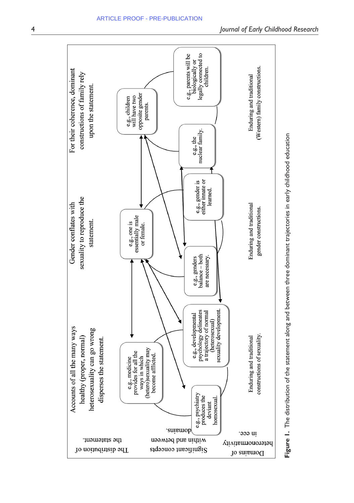

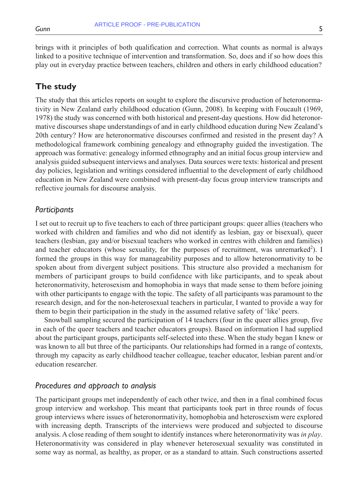brings with it principles of both qualification and correction. What counts as normal is always linked to a positive technique of intervention and transformation. So, does and if so how does this play out in everyday practice between teachers, children and others in early childhood education?

## **The study**

The study that this articles reports on sought to explore the discursive production of heteronormativity in New Zealand early childhood education (Gunn, 2008). In keeping with Foucault (1969, 1978) the study was concerned with both historical and present-day questions. How did heteronormative discourses shape understandings of and in early childhood education during New Zealand's 20th century? How are heteronormative discourses confirmed and resisted in the present day? A methodological framework combining genealogy and ethnography guided the investigation. The approach was formative: genealogy informed ethnography and an initial focus group interview and analysis guided subsequent interviews and analyses. Data sources were texts: historical and present day policies, legislation and writings considered influential to the development of early childhood education in New Zealand were combined with present-day focus group interview transcripts and reflective journals for discourse analysis.

### *Participants*

I set out to recruit up to five teachers to each of three participant groups: queer allies (teachers who worked with children and families and who did not identify as lesbian, gay or bisexual), queer teachers (lesbian, gay and/or bisexual teachers who worked in centres with children and families) and teacher educators (whose sexuality, for the purposes of recruitment, was unremarked<sup>2</sup>). I formed the groups in this way for manageability purposes and to allow heteronormativity to be spoken about from divergent subject positions. This structure also provided a mechanism for members of participant groups to build confidence with like participants, and to speak about heteronormativity, heterosexism and homophobia in ways that made sense to them before joining with other participants to engage with the topic. The safety of all participants was paramount to the research design, and for the non-heterosexual teachers in particular, I wanted to provide a way for them to begin their participation in the study in the assumed relative safety of 'like' peers.

Snowball sampling secured the participation of 14 teachers (four in the queer allies group, five in each of the queer teachers and teacher educators groups). Based on information I had supplied about the participant groups, participants self-selected into these. When the study began I knew or was known to all but three of the participants. Our relationships had formed in a range of contexts, through my capacity as early childhood teacher colleague, teacher educator, lesbian parent and/or education researcher.

### *Procedures and approach to analysis*

The participant groups met independently of each other twice, and then in a final combined focus group interview and workshop. This meant that participants took part in three rounds of focus group interviews where issues of heteronormativity, homophobia and heterosexism were explored with increasing depth. Transcripts of the interviews were produced and subjected to discourse analysis. A close reading of them sought to identify instances where heteronormativity was *in play*. Heteronormativity was considered in play whenever heterosexual sexuality was constituted in some way as normal, as healthy, as proper, or as a standard to attain. Such constructions asserted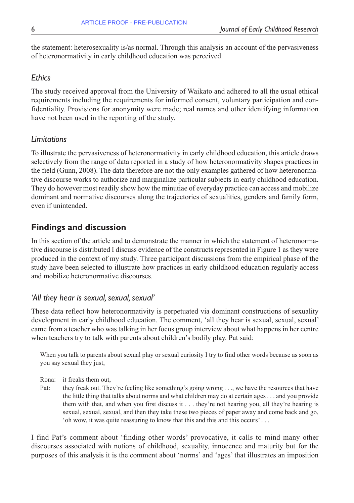the statement: heterosexuality is/as normal. Through this analysis an account of the pervasiveness of heteronormativity in early childhood education was perceived.

## *Ethics*

The study received approval from the University of Waikato and adhered to all the usual ethical requirements including the requirements for informed consent, voluntary participation and confidentiality. Provisions for anonymity were made; real names and other identifying information have not been used in the reporting of the study.

## *Limitations*

To illustrate the pervasiveness of heteronormativity in early childhood education, this article draws selectively from the range of data reported in a study of how heteronormativity shapes practices in the field (Gunn, 2008). The data therefore are not the only examples gathered of how heteronormative discourse works to authorize and marginalize particular subjects in early childhood education. They do however most readily show how the minutiae of everyday practice can access and mobilize dominant and normative discourses along the trajectories of sexualities, genders and family form, even if unintended.

# **Findings and discussion**

In this section of the article and to demonstrate the manner in which the statement of heteronormative discourse is distributed I discuss evidence of the constructs represented in Figure 1 as they were produced in the context of my study. Three participant discussions from the empirical phase of the study have been selected to illustrate how practices in early childhood education regularly access and mobilize heteronormative discourses.

## *'All they hear is sexual, sexual, sexual'*

These data reflect how heteronormativity is perpetuated via dominant constructions of sexuality development in early childhood education. The comment, 'all they hear is sexual, sexual, sexual' came from a teacher who was talking in her focus group interview about what happens in her centre when teachers try to talk with parents about children's bodily play. Pat said:

When you talk to parents about sexual play or sexual curiosity I try to find other words because as soon as you say sexual they just,

Rona: it freaks them out,

Pat: they freak out. They're feeling like something's going wrong . . ., we have the resources that have the little thing that talks about norms and what children may do at certain ages . . . and you provide them with that, and when you first discuss it . . . they're not hearing you, all they're hearing is sexual, sexual, sexual, and then they take these two pieces of paper away and come back and go, 'oh wow, it was quite reassuring to know that this and this and this occurs' . . .

I find Pat's comment about 'finding other words' provocative, it calls to mind many other discourses associated with notions of childhood, sexuality, innocence and maturity but for the purposes of this analysis it is the comment about 'norms' and 'ages' that illustrates an imposition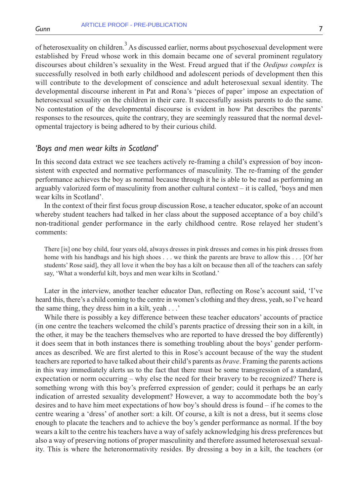of heterosexuality on children.<sup>3</sup> As discussed earlier, norms about psychosexual development were established by Freud whose work in this domain became one of several prominent regulatory discourses about children's sexuality in the West. Freud argued that if the *Oedipus complex* is successfully resolved in both early childhood and adolescent periods of development then this will contribute to the development of conscience and adult heterosexual sexual identity. The developmental discourse inherent in Pat and Rona's 'pieces of paper' impose an expectation of heterosexual sexuality on the children in their care. It successfully assists parents to do the same. No contestation of the developmental discourse is evident in how Pat describes the parents' responses to the resources, quite the contrary, they are seemingly reassured that the normal developmental trajectory is being adhered to by their curious child.

### *'Boys and men wear kilts in Scotland'*

In this second data extract we see teachers actively re-framing a child's expression of boy inconsistent with expected and normative performances of masculinity. The re-framing of the gender performance achieves the boy as normal because through it he is able to be read as performing an arguably valorized form of masculinity from another cultural context – it is called, 'boys and men wear kilts in Scotland'.

In the context of their first focus group discussion Rose, a teacher educator, spoke of an account whereby student teachers had talked in her class about the supposed acceptance of a boy child's non-traditional gender performance in the early childhood centre. Rose relayed her student's comments:

There [is] one boy child, four years old, always dresses in pink dresses and comes in his pink dresses from home with his handbags and his high shoes . . . we think the parents are brave to allow this . . . [Of her students' Rose said], they all love it when the boy has a kilt on because then all of the teachers can safely say, 'What a wonderful kilt, boys and men wear kilts in Scotland.'

Later in the interview, another teacher educator Dan, reflecting on Rose's account said, 'I've heard this, there's a child coming to the centre in women's clothing and they dress, yeah, so I've heard the same thing, they dress him in a kilt, yeah . . .'

While there is possibly a key difference between these teacher educators' accounts of practice (in one centre the teachers welcomed the child's parents practice of dressing their son in a kilt, in the other, it may be the teachers themselves who are reported to have dressed the boy differently) it does seem that in both instances there is something troubling about the boys' gender performances as described. We are first alerted to this in Rose's account because of the way the student teachers are reported to have talked about their child's parents as *brave*. Framing the parents actions in this way immediately alerts us to the fact that there must be some transgression of a standard, expectation or norm occurring – why else the need for their bravery to be recognized? There is something wrong with this boy's preferred expression of gender; could it perhaps be an early indication of arrested sexuality development? However, a way to accommodate both the boy's desires and to have him meet expectations of how boy's should dress is found – if he comes to the centre wearing a 'dress' of another sort: a kilt. Of course, a kilt is not a dress, but it seems close enough to placate the teachers and to achieve the boy's gender performance as normal. If the boy wears a kilt to the centre his teachers have a way of safely acknowledging his dress preferences but also a way of preserving notions of proper masculinity and therefore assumed heterosexual sexuality. This is where the heteronormativity resides. By dressing a boy in a kilt, the teachers (or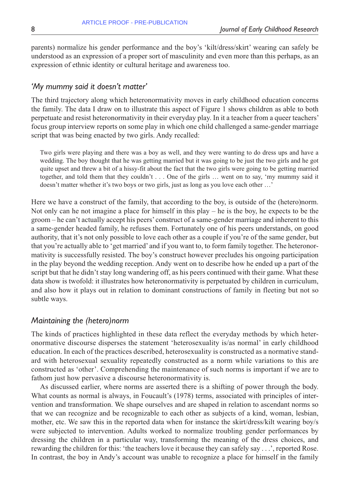parents) normalize his gender performance and the boy's 'kilt/dress/skirt' wearing can safely be understood as an expression of a proper sort of masculinity and even more than this perhaps, as an expression of ethnic identity or cultural heritage and awareness too.

### *'My mummy said it doesn't matter'*

The third trajectory along which heteronormativity moves in early childhood education concerns the family. The data I draw on to illustrate this aspect of Figure 1 shows children as able to both perpetuate and resist heteronormativity in their everyday play. In it a teacher from a queer teachers' focus group interview reports on some play in which one child challenged a same-gender marriage script that was being enacted by two girls. Andy recalled:

Two girls were playing and there was a boy as well, and they were wanting to do dress ups and have a wedding. The boy thought that he was getting married but it was going to be just the two girls and he got quite upset and threw a bit of a hissy-fit about the fact that the two girls were going to be getting married together, and told them that they couldn't . . . One of the girls … went on to say, 'my mummy said it doesn't matter whether it's two boys or two girls, just as long as you love each other …'

Here we have a construct of the family, that according to the boy, is outside of the (hetero)norm. Not only can he not imagine a place for himself in this play – he is the boy, he expects to be the groom – he can't actually accept his peers' construct of a same-gender marriage and inherent to this a same-gender headed family, he refuses them. Fortunately one of his peers understands, on good authority, that it's not only possible to love each other as a couple if you're of the same gender, but that you're actually able to 'get married' and if you want to, to form family together. The heteronormativity is successfully resisted. The boy's construct however precludes his ongoing participation in the play beyond the wedding reception. Andy went on to describe how he ended up a part of the script but that he didn't stay long wandering off, as his peers continued with their game. What these data show is twofold: it illustrates how heteronormativity is perpetuated by children in curriculum, and also how it plays out in relation to dominant constructions of family in fleeting but not so subtle ways.

### *Maintaining the (hetero)norm*

The kinds of practices highlighted in these data reflect the everyday methods by which heteronormative discourse disperses the statement 'heterosexuality is/as normal' in early childhood education. In each of the practices described, heterosexuality is constructed as a normative standard with heterosexual sexuality repeatedly constructed as a norm while variations to this are constructed as 'other'. Comprehending the maintenance of such norms is important if we are to fathom just how pervasive a discourse heteronormativity is.

As discussed earlier, where norms are asserted there is a shifting of power through the body. What counts as normal is always, in Foucault's (1978) terms, associated with principles of intervention and transformation. We shape ourselves and are shaped in relation to ascendant norms so that we can recognize and be recognizable to each other as subjects of a kind, woman, lesbian, mother, etc. We saw this in the reported data when for instance the skirt/dress/kilt wearing boy/s were subjected to intervention. Adults worked to normalize troubling gender performances by dressing the children in a particular way, transforming the meaning of the dress choices, and rewarding the children for this: 'the teachers love it because they can safely say . . .', reported Rose. In contrast, the boy in Andy's account was unable to recognize a place for himself in the family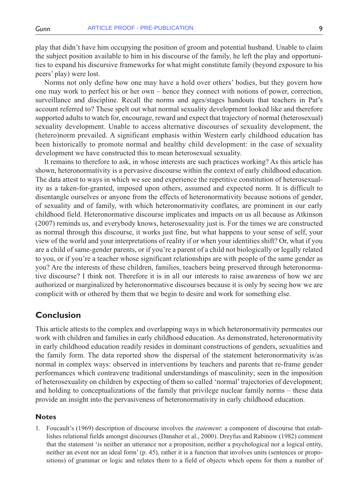play that didn't have him occupying the position of groom and potential husband. Unable to claim the subject position available to him in his discourse of the family, he left the play and opportunities to expand his discursive frameworks for what might constitute family (beyond exposure to his peers' play) were lost.

Norms not only define how one may have a hold over others' bodies, but they govern how one may work to perfect his or her own – hence they connect with notions of power, correction, surveillance and discipline. Recall the norms and ages/stages handouts that teachers in Pat's account referred to? These spelt out what normal sexuality development looked like and therefore supported adults to watch for, encourage, reward and expect that trajectory of normal (heterosexual) sexuality development. Unable to access alternative discourses of sexuality development, the (hetero)norm prevailed. A significant emphasis within Western early childhood education has been historically to promote normal and healthy child development: in the case of sexuality development we have constructed this to mean heterosexual sexuality.

It remains to therefore to ask, in whose interests are such practices working? As this article has shown, heteronormativity is a pervasive discourse within the context of early childhood education. The data attest to ways in which we see and experience the repetitive constitution of heterosexuality as a taken-for-granted, imposed upon others, assumed and expected norm. It is difficult to disentangle ourselves or anyone from the effects of heteronormativity because notions of gender, of sexuality and of family, with which heteronormativity conflates, are prominent in our early childhood field. Heteronormative discourse implicates and impacts on us all because as Atkinson (2007) reminds us, and everybody knows, heterosexuality just is. For the times we are constructed as normal through this discourse, it works just fine, but what happens to your sense of self, your view of the world and your interpretations of reality if or when your identities shift? Or, what if you are a child of same-gender parents, or if you're a parent of a child not biologically or legally related to you, or if you're a teacher whose significant relationships are with people of the same gender as you? Are the interests of these children, families, teachers being preserved through heteronormative discourse? I think not. Therefore it is in all our interests to raise awareness of how we are authorized or marginalized by heteronormative discourses because it is only by seeing how we are complicit with or othered by them that we begin to desire and work for something else.

## **Conclusion**

This article attests to the complex and overlapping ways in which heteronormativity permeates our work with children and families in early childhood education. As demonstrated, heteronormativity in early childhood education readily resides in dominant constructions of genders, sexualities and the family form. The data reported show the dispersal of the statement heteronormativity is/as normal in complex ways: observed in interventions by teachers and parents that re-frame gender performances which contravene traditional understandings of masculinity; seen in the imposition of heterosexuality on children by expecting of them so called 'normal' trajectories of development; and holding to conceptualizations of the family that privilege nuclear family norms – these data provide an insight into the pervasiveness of heteronormativity in early childhood education.

#### **Notes**

1. Foucault's (1969) description of discourse involves the *statement*: a component of discourse that establishes relational fields amongst discourses (Danaher et al., 2000). Dreyfus and Rabinow (1982) comment that the statement 'is neither an utterance nor a proposition, neither a psychological nor a logical entity, neither an event nor an ideal form' (p. 45), rather it is a function that involves units (sentences or propositions) of grammar or logic and relates them to a field of objects which opens for them a number of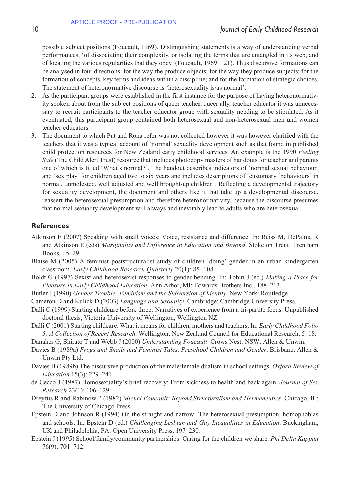possible subject positions (Foucault, 1969). Distinguishing statements is a way of understanding verbal performances, 'of dissociating their complexity, or isolating the terms that are entangled in its web, and of locating the various regularities that they obey' (Foucault, 1969: 121). Thus discursive formations can be analysed in four directions: for the way the produce objects; for the way they produce subjects; for the formation of concepts, key terms and ideas within a discipline; and for the formation of strategic choices. The statement of heteronormative discourse is 'heterosexuality is/as normal'.

- 2. As the participant groups were established in the first instance for the purpose of having heteronormativity spoken about from the subject positions of queer teacher, queer ally, teacher educator it was unnecessary to recruit participants to the teacher educator group with sexuality needing to be stipulated. As it eventuated, this participant group contained both heterosexual and non-heterosexual men and women teacher educators.
- 3. The document to which Pat and Rona refer was not collected however it was however clarified with the teachers that it was a typical account of 'normal' sexuality development such as that found in published child protection resources for New Zealand early childhood services. An example is the 1990 *Feeling Safe* (The Child Alert Trust) resource that includes photocopy masters of handouts for teacher and parents one of which is titled 'What's normal?'. The handout describes indicators of 'normal sexual behaviour' and 'sex play' for children aged two to six years and includes descriptions of 'customary [behaviours] in normal, unmolested, well adjusted and well brought-up children'. Reflecting a developmental trajectory for sexuality development, the document and others like it that take up a developmental discourse, reassert the heterosexual presumption and therefore heteronormativity, because the discourse presumes that normal sexuality development will always and inevitably lead to adults who are heterosexual.

#### **References**

- Atkinson E (2007) Speaking with small voices: Voice, resistance and difference. In: Reiss M, DePalma R and Atkinson E (eds) *Marginality and Difference in Education and Beyond*. Stoke on Trent: Trentham Books, 15–29.
- Blaise M (2005) A feminist poststructuralist study of children 'doing' gender in an urban kindergarten classroom. *Early Childhood Research Quarterly* 20(1): 85–108.
- Boldt G (1997) Sexist and heterosexist responses to gender bending. In: Tobin J (ed.) *Making a Place for Pleasure in Early Childhood Education*. Ann Arbor, MI: Edwards Brothers Inc., 188–213.
- Butler J (1990) *Gender Trouble: Feminism and the Subversion of Identity*. New York: Routledge.
- Cameron D and Kulick D (2003) *Language and Sexuality*. Cambridge: Cambridge University Press.
- Dalli C (1999) Starting childcare before three: Narratives of experience from a tri-partite focus. Unpublished doctoral thesis, Victoria University of Wellington, Wellington NZ.
- Dalli C (2001) Starting childcare. What it means for children, mothers and teachers. In: *Early Childhood Folio 5: A Collection of Recent Research*. Wellington: New Zealand Council for Educational Research, 5–18.

Danaher G, Shirato T and Webb J (2000) *Understanding Foucault*. Crows Nest, NSW: Allen & Unwin.

- Davies B (1989a) *Frogs and Snails and Feminist Tales. Preschool Children and Gender*. Brisbane: Allen & Unwin Pty Ltd.
- Davies B (1989b) The discursive production of the male/female dualism in school settings. *Oxford Review of Education* 15(3): 229–241.
- de Cecco J (1987) Homosexuality's brief recovery: From sickness to health and back again. *Journal of Sex Research* 23(1): 106–129.
- Dreyfus R and Rabinow P (1982) *Michel Foucault: Beyond Structuralism and Hermeneutics*. Chicago, IL: The University of Chicago Press.
- Epstein D and Johnson R (1994) On the straight and narrow: The heterosexual presumption, homophobias and schools. In: Epstein D (ed.) *Challenging Lesbian and Gay Inequalities in Education*. Buckingham, UK and Philadelphia, PA: Open University Press, 197–230.
- Epstein J (1995) School/family/community partnerships: Caring for the children we share. *Phi Delta Kappan*  76(9): 701–712.